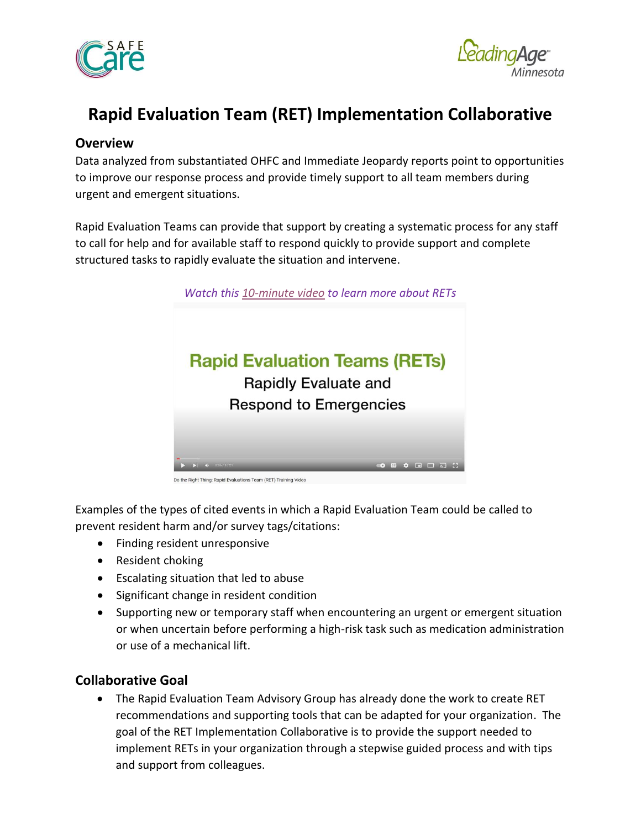



# **Rapid Evaluation Team (RET) Implementation Collaborative**

# **Overview**

Data analyzed from substantiated OHFC and Immediate Jeopardy reports point to opportunities to improve our response process and provide timely support to all team members during urgent and emergent situations.

Rapid Evaluation Teams can provide that support by creating a systematic process for any staff to call for help and for available staff to respond quickly to provide support and complete structured tasks to rapidly evaluate the situation and intervene.



Do the Right Thing: Rapid Evaluations Team (RET) Training Video

Examples of the types of cited events in which a Rapid Evaluation Team could be called to prevent resident harm and/or survey tags/citations:

- Finding resident unresponsive
- Resident choking
- Escalating situation that led to abuse
- Significant change in resident condition
- Supporting new or temporary staff when encountering an urgent or emergent situation or when uncertain before performing a high-risk task such as medication administration or use of a mechanical lift.

# **Collaborative Goal**

• The Rapid Evaluation Team Advisory Group has already done the work to create RET recommendations and supporting tools that can be adapted for your organization. The goal of the RET Implementation Collaborative is to provide the support needed to implement RETs in your organization through a stepwise guided process and with tips and support from colleagues.